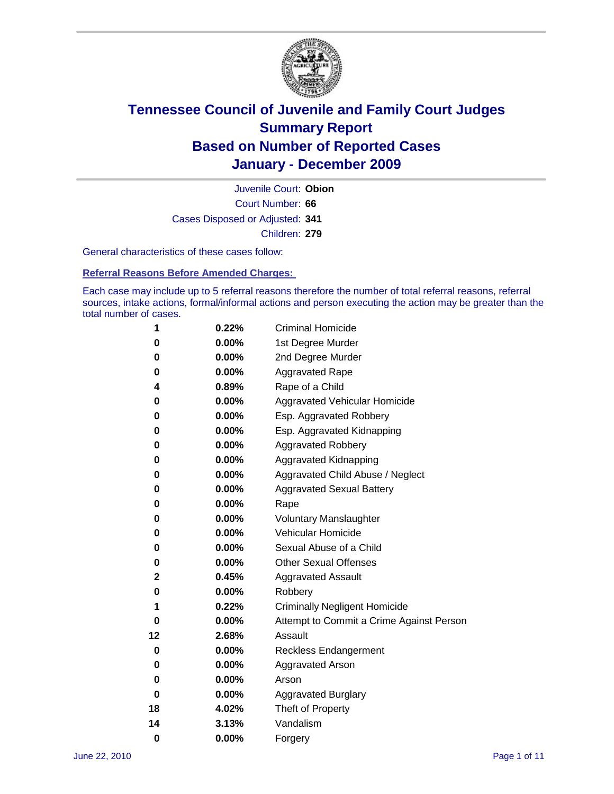

Court Number: **66** Juvenile Court: **Obion** Cases Disposed or Adjusted: **341** Children: **279**

General characteristics of these cases follow:

**Referral Reasons Before Amended Charges:** 

Each case may include up to 5 referral reasons therefore the number of total referral reasons, referral sources, intake actions, formal/informal actions and person executing the action may be greater than the total number of cases.

| 1  | 0.22%    | <b>Criminal Homicide</b>                 |
|----|----------|------------------------------------------|
| 0  | 0.00%    | 1st Degree Murder                        |
| 0  | 0.00%    | 2nd Degree Murder                        |
| 0  | 0.00%    | <b>Aggravated Rape</b>                   |
| 4  | 0.89%    | Rape of a Child                          |
| 0  | 0.00%    | Aggravated Vehicular Homicide            |
| 0  | 0.00%    | Esp. Aggravated Robbery                  |
| 0  | 0.00%    | Esp. Aggravated Kidnapping               |
| 0  | 0.00%    | <b>Aggravated Robbery</b>                |
| 0  | 0.00%    | Aggravated Kidnapping                    |
| 0  | 0.00%    | Aggravated Child Abuse / Neglect         |
| 0  | $0.00\%$ | <b>Aggravated Sexual Battery</b>         |
| 0  | 0.00%    | Rape                                     |
| 0  | 0.00%    | <b>Voluntary Manslaughter</b>            |
| 0  | 0.00%    | Vehicular Homicide                       |
| 0  | 0.00%    | Sexual Abuse of a Child                  |
| 0  | 0.00%    | <b>Other Sexual Offenses</b>             |
| 2  | 0.45%    | <b>Aggravated Assault</b>                |
| 0  | $0.00\%$ | Robbery                                  |
| 1  | 0.22%    | <b>Criminally Negligent Homicide</b>     |
| 0  | 0.00%    | Attempt to Commit a Crime Against Person |
| 12 | 2.68%    | Assault                                  |
| 0  | 0.00%    | <b>Reckless Endangerment</b>             |
| 0  | 0.00%    | <b>Aggravated Arson</b>                  |
| 0  | 0.00%    | Arson                                    |
| 0  | 0.00%    | <b>Aggravated Burglary</b>               |
| 18 | 4.02%    | Theft of Property                        |
| 14 | 3.13%    | Vandalism                                |
| 0  | 0.00%    | Forgery                                  |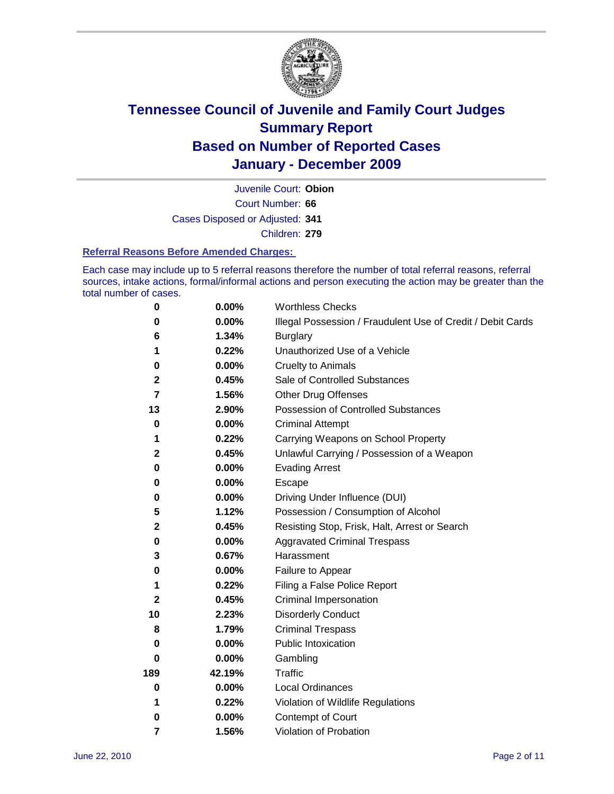

Court Number: **66** Juvenile Court: **Obion** Cases Disposed or Adjusted: **341** Children: **279**

#### **Referral Reasons Before Amended Charges:**

Each case may include up to 5 referral reasons therefore the number of total referral reasons, referral sources, intake actions, formal/informal actions and person executing the action may be greater than the total number of cases.

| $\pmb{0}$    | 0.00%    | <b>Worthless Checks</b>                                     |
|--------------|----------|-------------------------------------------------------------|
| 0            | 0.00%    | Illegal Possession / Fraudulent Use of Credit / Debit Cards |
| 6            | 1.34%    | <b>Burglary</b>                                             |
| 1            | 0.22%    | Unauthorized Use of a Vehicle                               |
| 0            | $0.00\%$ | <b>Cruelty to Animals</b>                                   |
| 2            | 0.45%    | Sale of Controlled Substances                               |
| 7            | 1.56%    | <b>Other Drug Offenses</b>                                  |
| 13           | 2.90%    | Possession of Controlled Substances                         |
| $\mathbf 0$  | $0.00\%$ | <b>Criminal Attempt</b>                                     |
| 1            | 0.22%    | Carrying Weapons on School Property                         |
| $\mathbf 2$  | 0.45%    | Unlawful Carrying / Possession of a Weapon                  |
| 0            | $0.00\%$ | <b>Evading Arrest</b>                                       |
| 0            | 0.00%    | Escape                                                      |
| 0            | $0.00\%$ | Driving Under Influence (DUI)                               |
| 5            | 1.12%    | Possession / Consumption of Alcohol                         |
| $\mathbf 2$  | 0.45%    | Resisting Stop, Frisk, Halt, Arrest or Search               |
| 0            | $0.00\%$ | <b>Aggravated Criminal Trespass</b>                         |
| 3            | 0.67%    | Harassment                                                  |
| 0            | 0.00%    | Failure to Appear                                           |
| 1            | 0.22%    | Filing a False Police Report                                |
| $\mathbf{2}$ | 0.45%    | Criminal Impersonation                                      |
| 10           | 2.23%    | <b>Disorderly Conduct</b>                                   |
| 8            | 1.79%    | <b>Criminal Trespass</b>                                    |
| $\bf{0}$     | $0.00\%$ | Public Intoxication                                         |
| 0            | $0.00\%$ | Gambling                                                    |
| 189          | 42.19%   | <b>Traffic</b>                                              |
| 0            | $0.00\%$ | <b>Local Ordinances</b>                                     |
| 1            | 0.22%    | Violation of Wildlife Regulations                           |
| 0            | $0.00\%$ | Contempt of Court                                           |
| 7            | 1.56%    | Violation of Probation                                      |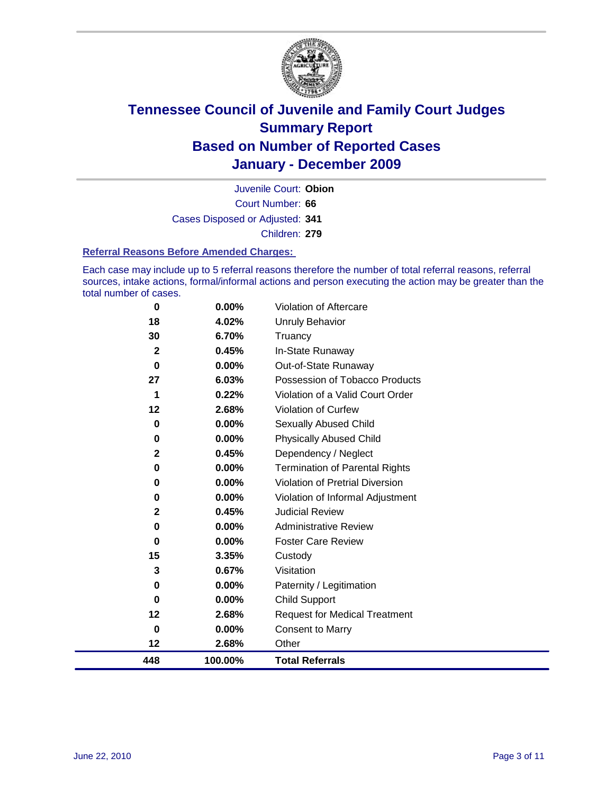

Court Number: **66** Juvenile Court: **Obion** Cases Disposed or Adjusted: **341** Children: **279**

#### **Referral Reasons Before Amended Charges:**

Each case may include up to 5 referral reasons therefore the number of total referral reasons, referral sources, intake actions, formal/informal actions and person executing the action may be greater than the total number of cases.

| 0            | 0.00%    | Violation of Aftercare                 |
|--------------|----------|----------------------------------------|
| 18           | 4.02%    | <b>Unruly Behavior</b>                 |
| 30           | 6.70%    | Truancy                                |
| $\mathbf{2}$ | 0.45%    | In-State Runaway                       |
| $\bf{0}$     | 0.00%    | Out-of-State Runaway                   |
| 27           | 6.03%    | Possession of Tobacco Products         |
| 1            | 0.22%    | Violation of a Valid Court Order       |
| 12           | 2.68%    | <b>Violation of Curfew</b>             |
| 0            | $0.00\%$ | <b>Sexually Abused Child</b>           |
| 0            | 0.00%    | Physically Abused Child                |
| $\mathbf{2}$ | 0.45%    | Dependency / Neglect                   |
| 0            | 0.00%    | <b>Termination of Parental Rights</b>  |
| 0            | 0.00%    | <b>Violation of Pretrial Diversion</b> |
| 0            | 0.00%    | Violation of Informal Adjustment       |
| 2            | 0.45%    | <b>Judicial Review</b>                 |
| 0            | 0.00%    | <b>Administrative Review</b>           |
| 0            | 0.00%    | <b>Foster Care Review</b>              |
| 15           | 3.35%    | Custody                                |
| 3            | 0.67%    | Visitation                             |
| 0            | 0.00%    | Paternity / Legitimation               |
| 0            | 0.00%    | <b>Child Support</b>                   |
| 12           | 2.68%    | <b>Request for Medical Treatment</b>   |
| 0            | 0.00%    | <b>Consent to Marry</b>                |
| 12           | 2.68%    | Other                                  |
| 448          | 100.00%  | <b>Total Referrals</b>                 |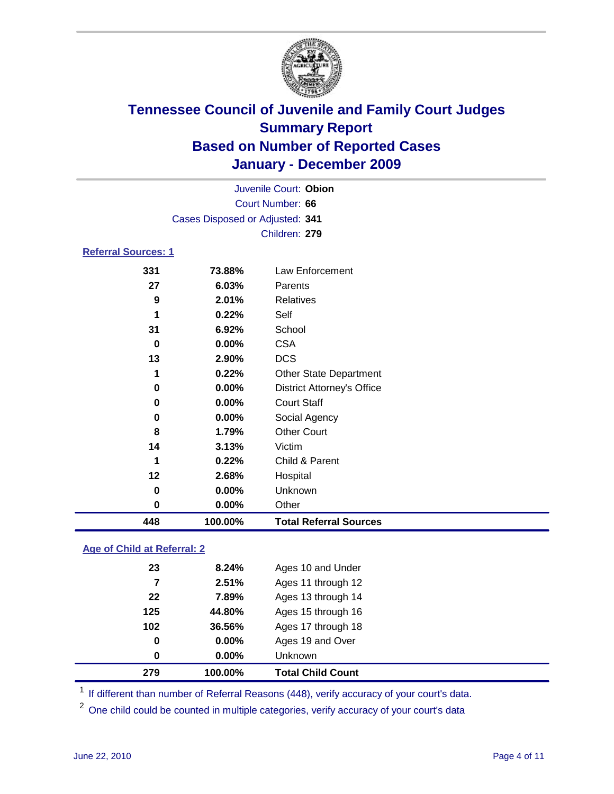

|                            | Juvenile Court: Obion           |                                   |  |  |  |
|----------------------------|---------------------------------|-----------------------------------|--|--|--|
| Court Number: 66           |                                 |                                   |  |  |  |
|                            | Cases Disposed or Adjusted: 341 |                                   |  |  |  |
|                            |                                 | Children: 279                     |  |  |  |
| <b>Referral Sources: 1</b> |                                 |                                   |  |  |  |
| 331                        | 73.88%                          | Law Enforcement                   |  |  |  |
| 27                         | 6.03%                           | Parents                           |  |  |  |
| 9                          | 2.01%                           | <b>Relatives</b>                  |  |  |  |
| 1                          | 0.22%                           | Self                              |  |  |  |
| 31                         | 6.92%                           | School                            |  |  |  |
| 0                          | 0.00%                           | <b>CSA</b>                        |  |  |  |
| 13                         | 2.90%                           | <b>DCS</b>                        |  |  |  |
| 1                          | 0.22%                           | <b>Other State Department</b>     |  |  |  |
| 0                          | 0.00%                           | <b>District Attorney's Office</b> |  |  |  |
| 0                          | 0.00%                           | <b>Court Staff</b>                |  |  |  |
| 0                          | 0.00%                           | Social Agency                     |  |  |  |
| 8                          | 1.79%                           | <b>Other Court</b>                |  |  |  |
| 14                         | 3.13%                           | Victim                            |  |  |  |
| 1                          | 0.22%                           | Child & Parent                    |  |  |  |
| 12                         | 2.68%                           | Hospital                          |  |  |  |
| 0                          | 0.00%                           | Unknown                           |  |  |  |
| 0                          | 0.00%                           | Other                             |  |  |  |
| 448                        | 100.00%                         | <b>Total Referral Sources</b>     |  |  |  |

### **Age of Child at Referral: 2**

| 279 | 100.00%  | <b>Total Child Count</b> |
|-----|----------|--------------------------|
| 0   | $0.00\%$ | <b>Unknown</b>           |
| 0   | $0.00\%$ | Ages 19 and Over         |
| 102 | 36.56%   | Ages 17 through 18       |
| 125 | 44.80%   | Ages 15 through 16       |
| 22  | 7.89%    | Ages 13 through 14       |
| 7   | 2.51%    | Ages 11 through 12       |
| 23  | 8.24%    | Ages 10 and Under        |
|     |          |                          |

<sup>1</sup> If different than number of Referral Reasons (448), verify accuracy of your court's data.

<sup>2</sup> One child could be counted in multiple categories, verify accuracy of your court's data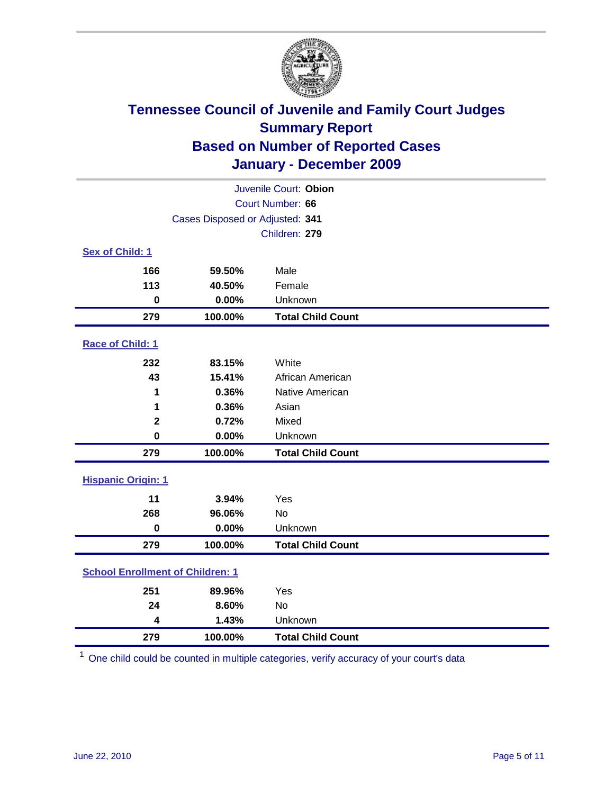

| Juvenile Court: Obion                   |                                 |                          |  |  |  |
|-----------------------------------------|---------------------------------|--------------------------|--|--|--|
|                                         | Court Number: 66                |                          |  |  |  |
|                                         | Cases Disposed or Adjusted: 341 |                          |  |  |  |
|                                         |                                 | Children: 279            |  |  |  |
| Sex of Child: 1                         |                                 |                          |  |  |  |
| 166                                     | 59.50%                          | Male                     |  |  |  |
| 113                                     | 40.50%                          | Female                   |  |  |  |
| $\mathbf 0$                             | 0.00%                           | Unknown                  |  |  |  |
| 279                                     | 100.00%                         | <b>Total Child Count</b> |  |  |  |
| Race of Child: 1                        |                                 |                          |  |  |  |
| 232                                     | 83.15%                          | White                    |  |  |  |
| 43                                      | 15.41%                          | African American         |  |  |  |
| 1                                       | 0.36%                           | Native American          |  |  |  |
| 1                                       | 0.36%                           | Asian                    |  |  |  |
| $\mathbf 2$                             | 0.72%                           | Mixed                    |  |  |  |
| $\mathbf 0$                             | 0.00%                           | Unknown                  |  |  |  |
| 279                                     | 100.00%                         | <b>Total Child Count</b> |  |  |  |
| <b>Hispanic Origin: 1</b>               |                                 |                          |  |  |  |
| 11                                      | 3.94%                           | Yes                      |  |  |  |
| 268                                     | 96.06%                          | No                       |  |  |  |
| $\mathbf 0$                             | 0.00%                           | Unknown                  |  |  |  |
| 279                                     | 100.00%                         | <b>Total Child Count</b> |  |  |  |
| <b>School Enrollment of Children: 1</b> |                                 |                          |  |  |  |
| 251                                     | 89.96%                          | Yes                      |  |  |  |
| 24                                      | 8.60%                           | No                       |  |  |  |
| 4                                       | 1.43%                           | Unknown                  |  |  |  |
| 279                                     | 100.00%                         | <b>Total Child Count</b> |  |  |  |

One child could be counted in multiple categories, verify accuracy of your court's data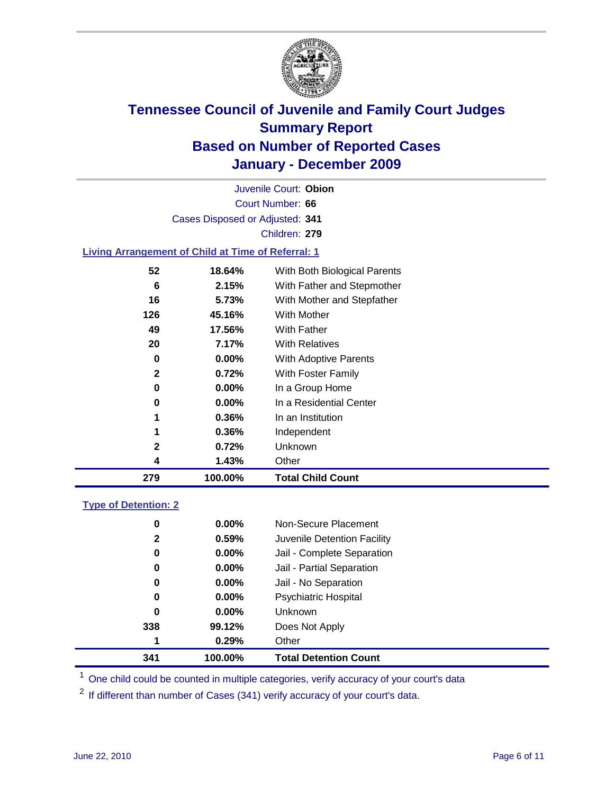

Court Number: **66** Juvenile Court: **Obion** Cases Disposed or Adjusted: **341** Children: **279**

### **Living Arrangement of Child at Time of Referral: 1**

| 279          | 100.00%  | <b>Total Child Count</b>     |
|--------------|----------|------------------------------|
| 4            | 1.43%    | Other                        |
| $\mathbf{2}$ | 0.72%    | Unknown                      |
| 1            | 0.36%    | Independent                  |
| 1            | 0.36%    | In an Institution            |
| 0            | $0.00\%$ | In a Residential Center      |
| 0            | $0.00\%$ | In a Group Home              |
| 2            | 0.72%    | With Foster Family           |
| 0            | 0.00%    | With Adoptive Parents        |
| 20           | 7.17%    | <b>With Relatives</b>        |
| 49           | 17.56%   | With Father                  |
| 126          | 45.16%   | With Mother                  |
| 16           | 5.73%    | With Mother and Stepfather   |
| 6            | 2.15%    | With Father and Stepmother   |
| 52           | 18.64%   | With Both Biological Parents |
|              |          |                              |

#### **Type of Detention: 2**

| 341 |     | 100.00%  | <b>Total Detention Count</b> |
|-----|-----|----------|------------------------------|
|     | 1   | 0.29%    | Other                        |
|     | 338 | 99.12%   | Does Not Apply               |
|     | 0   | $0.00\%$ | Unknown                      |
|     | 0   | $0.00\%$ | Psychiatric Hospital         |
|     | 0   | 0.00%    | Jail - No Separation         |
|     | 0   | $0.00\%$ | Jail - Partial Separation    |
|     | 0   | 0.00%    | Jail - Complete Separation   |
|     | 2   | 0.59%    | Juvenile Detention Facility  |
|     | 0   | $0.00\%$ | Non-Secure Placement         |
|     |     |          |                              |

<sup>1</sup> One child could be counted in multiple categories, verify accuracy of your court's data

<sup>2</sup> If different than number of Cases (341) verify accuracy of your court's data.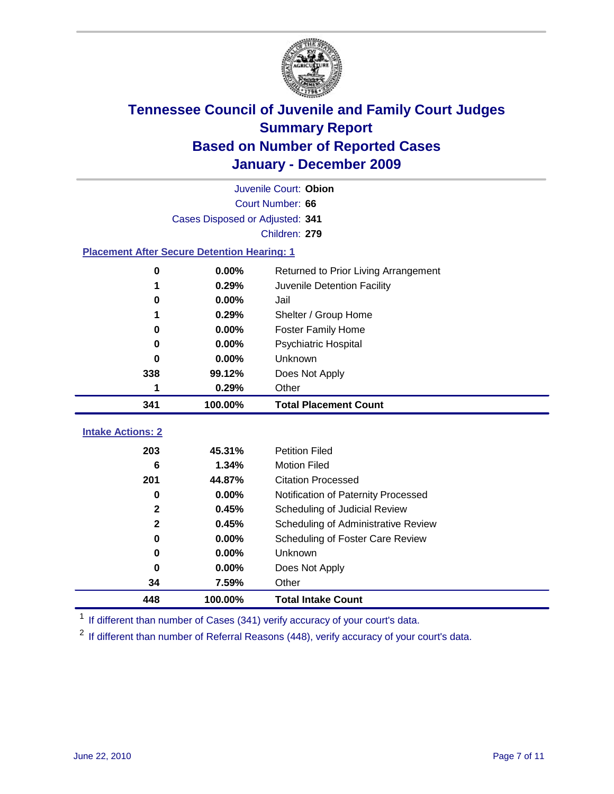

|                                                    | Juvenile Court: Obion           |                                      |  |  |  |
|----------------------------------------------------|---------------------------------|--------------------------------------|--|--|--|
|                                                    | Court Number: 66                |                                      |  |  |  |
|                                                    | Cases Disposed or Adjusted: 341 |                                      |  |  |  |
|                                                    |                                 | Children: 279                        |  |  |  |
| <b>Placement After Secure Detention Hearing: 1</b> |                                 |                                      |  |  |  |
| $\bf{0}$                                           | 0.00%                           | Returned to Prior Living Arrangement |  |  |  |
| 1                                                  | 0.29%                           | Juvenile Detention Facility          |  |  |  |
| 0                                                  | 0.00%                           | Jail                                 |  |  |  |
| 1                                                  | 0.29%                           | Shelter / Group Home                 |  |  |  |
| $\bf{0}$                                           | 0.00%                           | Foster Family Home                   |  |  |  |
| 0                                                  | 0.00%                           | Psychiatric Hospital                 |  |  |  |
| 0                                                  | $0.00\%$                        | Unknown                              |  |  |  |
| 338                                                | 99.12%                          | Does Not Apply                       |  |  |  |
| 1                                                  | 0.29%                           | Other                                |  |  |  |
| 341                                                | 100.00%                         | <b>Total Placement Count</b>         |  |  |  |
| <b>Intake Actions: 2</b>                           |                                 |                                      |  |  |  |
| 203                                                | 45.31%                          | <b>Petition Filed</b>                |  |  |  |
| 6                                                  | 1.34%                           | <b>Motion Filed</b>                  |  |  |  |
| 201                                                | 44.87%                          | <b>Citation Processed</b>            |  |  |  |
| $\bf{0}$                                           | 0.00%                           | Notification of Paternity Processed  |  |  |  |
| $\mathbf{2}$                                       | 0.45%                           | Scheduling of Judicial Review        |  |  |  |
| $\mathbf{2}$                                       | 0.45%                           | Scheduling of Administrative Review  |  |  |  |
| $\bf{0}$                                           | 0.00%                           | Scheduling of Foster Care Review     |  |  |  |
| $\bf{0}$                                           | 0.00%                           | <b>Unknown</b>                       |  |  |  |
| $\bf{0}$                                           | 0.00%                           | Does Not Apply                       |  |  |  |
| 34                                                 |                                 |                                      |  |  |  |
|                                                    | 7.59%                           | Other                                |  |  |  |

<sup>1</sup> If different than number of Cases (341) verify accuracy of your court's data.

<sup>2</sup> If different than number of Referral Reasons (448), verify accuracy of your court's data.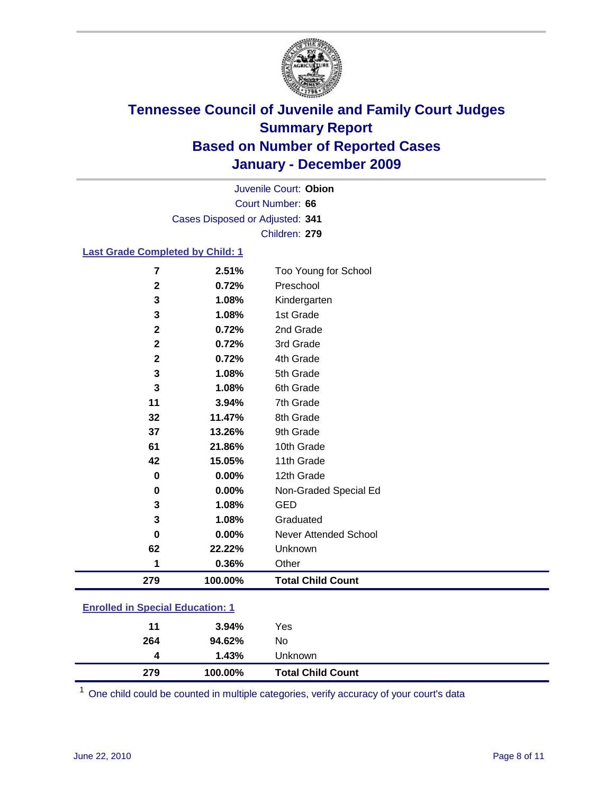

Court Number: **66** Juvenile Court: **Obion** Cases Disposed or Adjusted: **341** Children: **279**

#### **Last Grade Completed by Child: 1**

| 279            | 100.00% | <b>Total Child Count</b> |
|----------------|---------|--------------------------|
| 1              | 0.36%   | Other                    |
| 62             | 22.22%  | Unknown                  |
| 0              | 0.00%   | Never Attended School    |
| 3              | 1.08%   | Graduated                |
| 3              | 1.08%   | <b>GED</b>               |
| $\pmb{0}$      | 0.00%   | Non-Graded Special Ed    |
| 0              | 0.00%   | 12th Grade               |
| 42             | 15.05%  | 11th Grade               |
| 61             | 21.86%  | 10th Grade               |
| 37             | 13.26%  | 9th Grade                |
| 32             | 11.47%  | 8th Grade                |
| 11             | 3.94%   | 7th Grade                |
| 3              | 1.08%   | 6th Grade                |
| 3              | 1.08%   | 5th Grade                |
| $\mathbf 2$    | 0.72%   | 4th Grade                |
| $\mathbf 2$    | 0.72%   | 3rd Grade                |
| $\mathbf 2$    | 0.72%   | 2nd Grade                |
| 3              | 1.08%   | 1st Grade                |
| 3              | 1.08%   | Kindergarten             |
| $\mathbf 2$    | 0.72%   | Preschool                |
| $\overline{7}$ | 2.51%   | Too Young for School     |

### **Enrolled in Special Education: 1**

| 279 | 100.00%  | <b>Total Child Count</b> |  |
|-----|----------|--------------------------|--|
| 4   | 1.43%    | <b>Unknown</b>           |  |
| 264 | 94.62%   | No.                      |  |
| 11  | $3.94\%$ | Yes                      |  |
|     |          |                          |  |

One child could be counted in multiple categories, verify accuracy of your court's data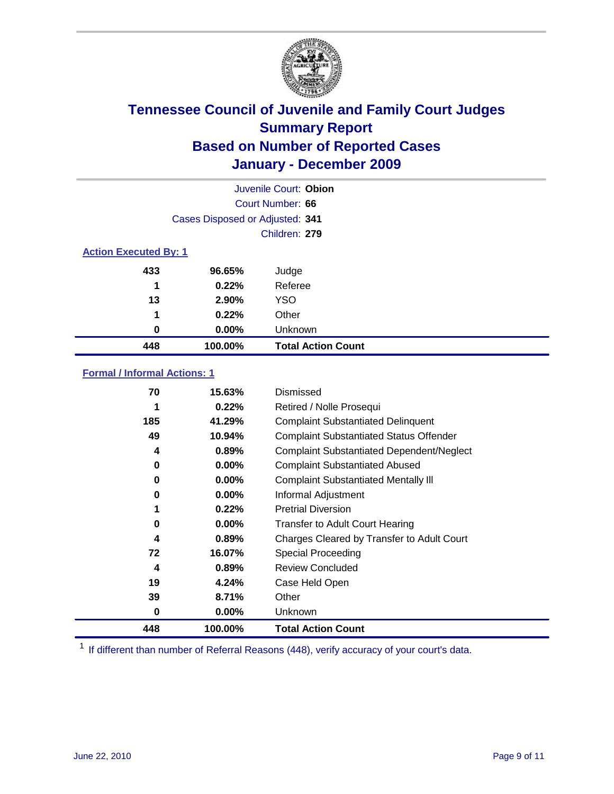

| Juvenile Court: Obion        |                                 |                           |  |  |
|------------------------------|---------------------------------|---------------------------|--|--|
|                              | Court Number: 66                |                           |  |  |
|                              | Cases Disposed or Adjusted: 341 |                           |  |  |
|                              |                                 | Children: 279             |  |  |
| <b>Action Executed By: 1</b> |                                 |                           |  |  |
| 433                          | 96.65%                          | Judge                     |  |  |
| 1                            | 0.22%                           | Referee                   |  |  |
| 13                           | 2.90%                           | <b>YSO</b>                |  |  |
| 1                            | 0.22%                           | Other                     |  |  |
| 0                            | 0.00%                           | Unknown                   |  |  |
| 448                          | 100.00%                         | <b>Total Action Count</b> |  |  |

### **Formal / Informal Actions: 1**

| 70  | 15.63%   | Dismissed                                        |
|-----|----------|--------------------------------------------------|
| 1   | 0.22%    | Retired / Nolle Prosequi                         |
| 185 | 41.29%   | <b>Complaint Substantiated Delinquent</b>        |
| 49  | 10.94%   | <b>Complaint Substantiated Status Offender</b>   |
| 4   | 0.89%    | <b>Complaint Substantiated Dependent/Neglect</b> |
| 0   | $0.00\%$ | <b>Complaint Substantiated Abused</b>            |
| 0   | $0.00\%$ | <b>Complaint Substantiated Mentally III</b>      |
| 0   | $0.00\%$ | Informal Adjustment                              |
| 1   | 0.22%    | <b>Pretrial Diversion</b>                        |
| 0   | $0.00\%$ | <b>Transfer to Adult Court Hearing</b>           |
| 4   | 0.89%    | Charges Cleared by Transfer to Adult Court       |
| 72  | 16.07%   | <b>Special Proceeding</b>                        |
| 4   | 0.89%    | <b>Review Concluded</b>                          |
| 19  | 4.24%    | Case Held Open                                   |
| 39  | 8.71%    | Other                                            |
| 0   | $0.00\%$ | <b>Unknown</b>                                   |
| 448 | 100.00%  | <b>Total Action Count</b>                        |

<sup>1</sup> If different than number of Referral Reasons (448), verify accuracy of your court's data.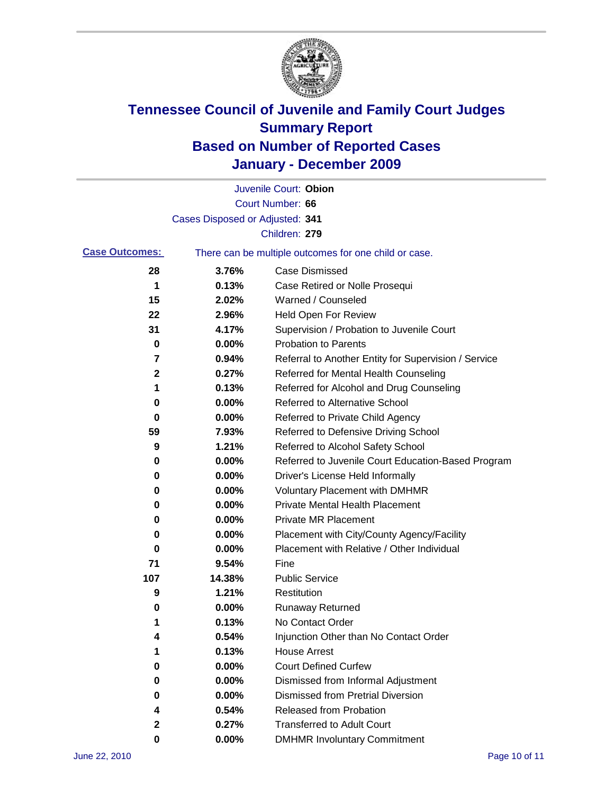

|                       |                                 | Juvenile Court: Obion                                 |
|-----------------------|---------------------------------|-------------------------------------------------------|
|                       |                                 | Court Number: 66                                      |
|                       | Cases Disposed or Adjusted: 341 |                                                       |
|                       |                                 | Children: 279                                         |
| <b>Case Outcomes:</b> |                                 | There can be multiple outcomes for one child or case. |
| 28                    | 3.76%                           | <b>Case Dismissed</b>                                 |
| 1                     | 0.13%                           | Case Retired or Nolle Prosequi                        |
| 15                    | 2.02%                           | Warned / Counseled                                    |
| 22                    | 2.96%                           | Held Open For Review                                  |
| 31                    | 4.17%                           | Supervision / Probation to Juvenile Court             |
| 0                     | 0.00%                           | <b>Probation to Parents</b>                           |
| 7                     | 0.94%                           | Referral to Another Entity for Supervision / Service  |
| 2                     | 0.27%                           | Referred for Mental Health Counseling                 |
| 1                     | 0.13%                           | Referred for Alcohol and Drug Counseling              |
| 0                     | 0.00%                           | <b>Referred to Alternative School</b>                 |
| 0                     | 0.00%                           | Referred to Private Child Agency                      |
| 59                    | 7.93%                           | Referred to Defensive Driving School                  |
| 9                     | 1.21%                           | Referred to Alcohol Safety School                     |
| 0                     | 0.00%                           | Referred to Juvenile Court Education-Based Program    |
| 0                     | 0.00%                           | Driver's License Held Informally                      |
| 0                     | 0.00%                           | <b>Voluntary Placement with DMHMR</b>                 |
| 0                     | 0.00%                           | <b>Private Mental Health Placement</b>                |
| 0                     | 0.00%                           | <b>Private MR Placement</b>                           |
| 0                     | 0.00%                           | Placement with City/County Agency/Facility            |
| 0                     | 0.00%                           | Placement with Relative / Other Individual            |
| 71                    | 9.54%                           | Fine                                                  |
| 107                   | 14.38%                          | <b>Public Service</b>                                 |
| 9                     | 1.21%                           | Restitution                                           |
| 0                     | 0.00%                           | <b>Runaway Returned</b>                               |
| 1                     | 0.13%                           | No Contact Order                                      |
| 4                     | 0.54%                           | Injunction Other than No Contact Order                |
|                       | 0.13%                           | <b>House Arrest</b>                                   |
| 0                     | 0.00%                           | <b>Court Defined Curfew</b>                           |
| 0                     | 0.00%                           | Dismissed from Informal Adjustment                    |
| 0                     | 0.00%                           | <b>Dismissed from Pretrial Diversion</b>              |
| 4                     | 0.54%                           | Released from Probation                               |
| 2                     | 0.27%                           | <b>Transferred to Adult Court</b>                     |
| 0                     | $0.00\%$                        | <b>DMHMR Involuntary Commitment</b>                   |